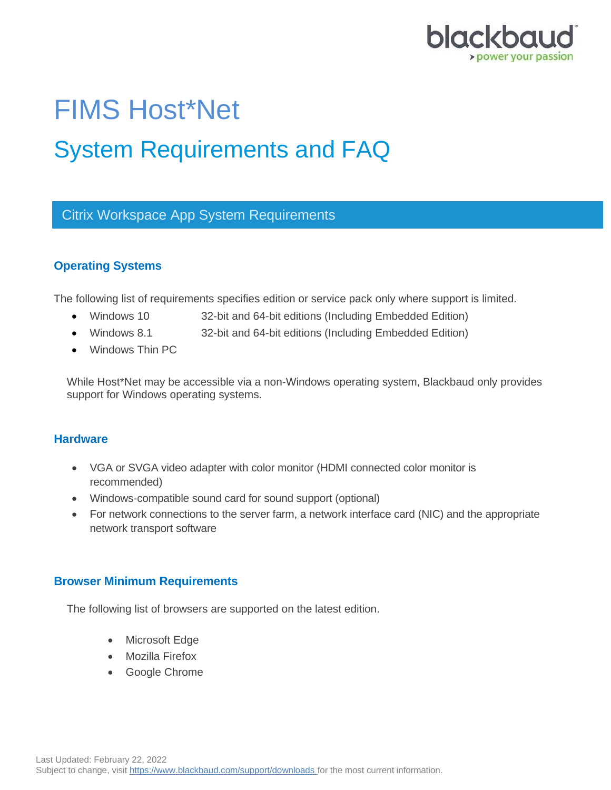

# FIMS Host\*Net System Requirements and FAQ

# Citrix Workspace App System Requirements

# **Operating Systems**

The following list of requirements specifies edition or service pack only where support is limited.

- Windows 10 32-bit and 64-bit editions (Including Embedded Edition)
- Windows 8.1 32-bit and 64-bit editions (Including Embedded Edition)
- Windows Thin PC

While Host\*Net may be accessible via a non-Windows operating system, Blackbaud only provides support for Windows operating systems.

## **Hardware**

- VGA or SVGA video adapter with color monitor (HDMI connected color monitor is recommended)
- Windows-compatible sound card for sound support (optional)
- For network connections to the server farm, a network interface card (NIC) and the appropriate network transport software

## **Browser Minimum Requirements**

The following list of browsers are supported on the latest edition.

- Microsoft Edge
- Mozilla Firefox
- Google Chrome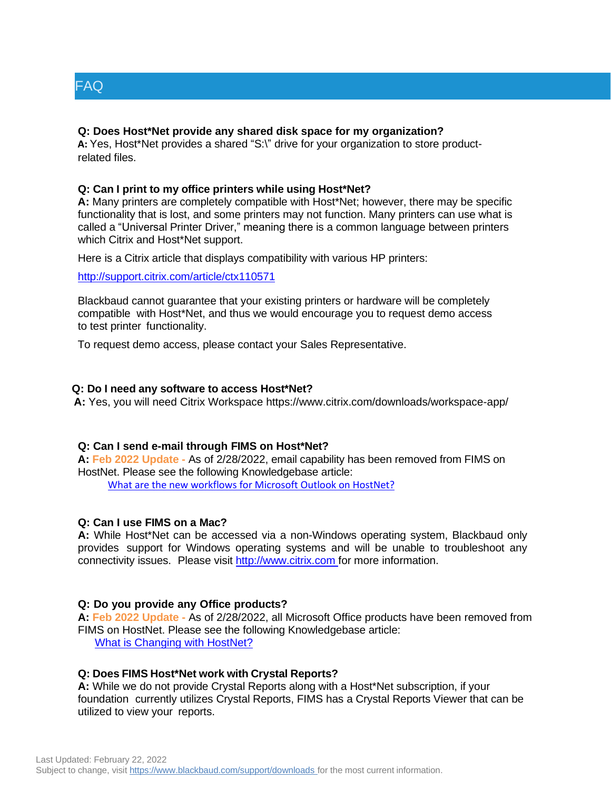

#### **Q: Does Host\*Net provide any shared disk space for my organization?**

**A:** Yes, Host\*Net provides a shared "S:\" drive for your organization to store productrelated files.

#### **Q: Can I print to my office printers while using Host\*Net?**

**A:** Many printers are completely compatible with Host\*Net; however, there may be specific functionality that is lost, and some printers may not function. Many printers can use what is called a "Universal Printer Driver," meaning there is a common language between printers which Citrix and Host\*Net support.

Here is a Citrix article that displays compatibility with various HP printers:

<http://support.citrix.com/article/ctx110571>

Blackbaud cannot guarantee that your existing printers or hardware will be completely compatible with Host\*Net, and thus we would encourage you to request demo access to test printer functionality.

To request demo access, please contact your Sales Representative.

#### **Q: Do I need any software to access Host\*Net?**

**A:** Yes, you will need Citrix Workspace <https://www.citrix.com/downloads/workspace-app/>

#### **Q: Can I send e-mail through FIMS on Host\*Net?**

**A: Feb 2022 Update -** As of 2/28/2022, email capability has been removed from FIMS on HostNet. Please see the following Knowledgebase article:

[What are the new workflows for Microsoft Outlook on HostNet?](https://kb.blackbaud.com/knowledgebase/articles/Article/197824)

#### **Q: Can I use FIMS on a Mac?**

**A:** While Host\*Net can be accessed via a non-Windows operating system, Blackbaud only provides support for Windows operating systems and will be unable to troubleshoot any connectivity issues. Please visit [http://www.citrix.com f](http://www.citrix.com/)or more information.

#### **Q: Do you provide any Office products?**

**A: Feb 2022 Update -** As of 2/28/2022, all Microsoft Office products have been removed from FIMS on HostNet. Please see the following Knowledgebase article: [What is Changing with HostNet?](https://kb.blackbaud.com/knowledgebase/articles/Article/195382)

#### **Q: Does FIMS Host\*Net work with Crystal Reports?**

**A:** While we do not provide Crystal Reports along with a Host\*Net subscription, if your foundation currently utilizes Crystal Reports, FIMS has a Crystal Reports Viewer that can be utilized to view your reports.